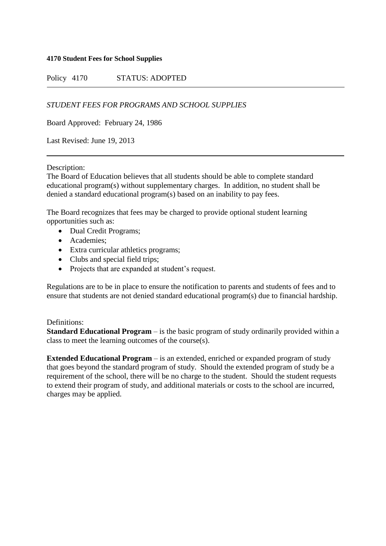### **4170 Student Fees for School Supplies**

Policy 4170 STATUS: ADOPTED

*STUDENT FEES FOR PROGRAMS AND SCHOOL SUPPLIES*

Board Approved: February 24, 1986

Last Revised: June 19, 2013

Description:

The Board of Education believes that all students should be able to complete standard educational program(s) without supplementary charges. In addition, no student shall be denied a standard educational program(s) based on an inability to pay fees.

The Board recognizes that fees may be charged to provide optional student learning opportunities such as:

- Dual Credit Programs;
- Academies:
- Extra curricular athletics programs;
- Clubs and special field trips;
- Projects that are expanded at student's request.

Regulations are to be in place to ensure the notification to parents and students of fees and to ensure that students are not denied standard educational program(s) due to financial hardship.

# Definitions:

**Standard Educational Program** – is the basic program of study ordinarily provided within a class to meet the learning outcomes of the course(s).

**Extended Educational Program** – is an extended, enriched or expanded program of study that goes beyond the standard program of study. Should the extended program of study be a requirement of the school, there will be no charge to the student. Should the student requests to extend their program of study, and additional materials or costs to the school are incurred, charges may be applied.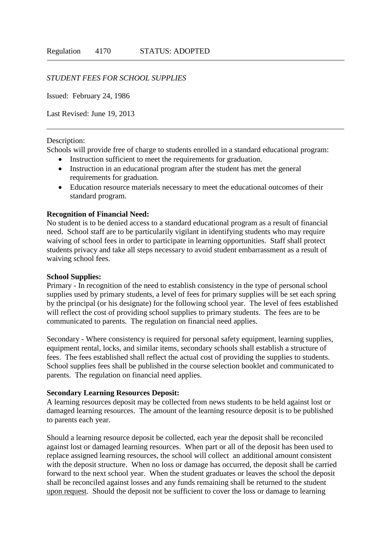### *STUDENT FEES FOR SCHOOL SUPPLIES*

Issued: February 24, 1986

Last Revised: June 19, 2013

#### Description:

Schools will provide free of charge to students enrolled in a standard educational program:

- Instruction sufficient to meet the requirements for graduation.
- Instruction in an educational program after the student has met the general requirements for graduation.
- Education resource materials necessary to meet the educational outcomes of their standard program.

### **Recognition of Financial Need:**

No student is to be denied access to a standard educational program as a result of financial need. School staff are to be particularily vigilant in identifying students who may require waiving of school fees in order to participate in learning opportunities. Staff shall protect students privacy and take all steps necessary to avoid student embarrassment as a result of waiving school fees.

#### **School Supplies:**

Primary - In recognition of the need to establish consistency in the type of personal school supplies used by primary students, a level of fees for primary supplies will be set each spring by the principal (or his designate) for the following school year. The level of fees established will reflect the cost of providing school supplies to primary students. The fees are to be communicated to parents. The regulation on financial need applies.

Secondary - Where consistency is required for personal safety equipment, learning supplies, equipment rental, locks, and similar items, secondary schools shall establish a structure of fees. The fees established shall reflect the actual cost of providing the supplies to students. School supplies fees shall be published in the course selection booklet and communicated to parents. The regulation on financial need applies.

### **Secondary Learning Resources Deposit:**

A learning resources deposit may be collected from news students to be held against lost or damaged learning resources. The amount of the learning resource deposit is to be published to parents each year.

Should a learning resource deposit be collected, each year the deposit shall be reconciled against lost or damaged learning resources. When part or all of the deposit has been used to replace assigned learning resources, the school will collect an additional amount consistent with the deposit structure. When no loss or damage has occurred, the deposit shall be carried forward to the next school year. When the student graduates or leaves the school the deposit shall be reconciled against losses and any funds remaining shall be returned to the student upon request. Should the deposit not be sufficient to cover the loss or damage to learning